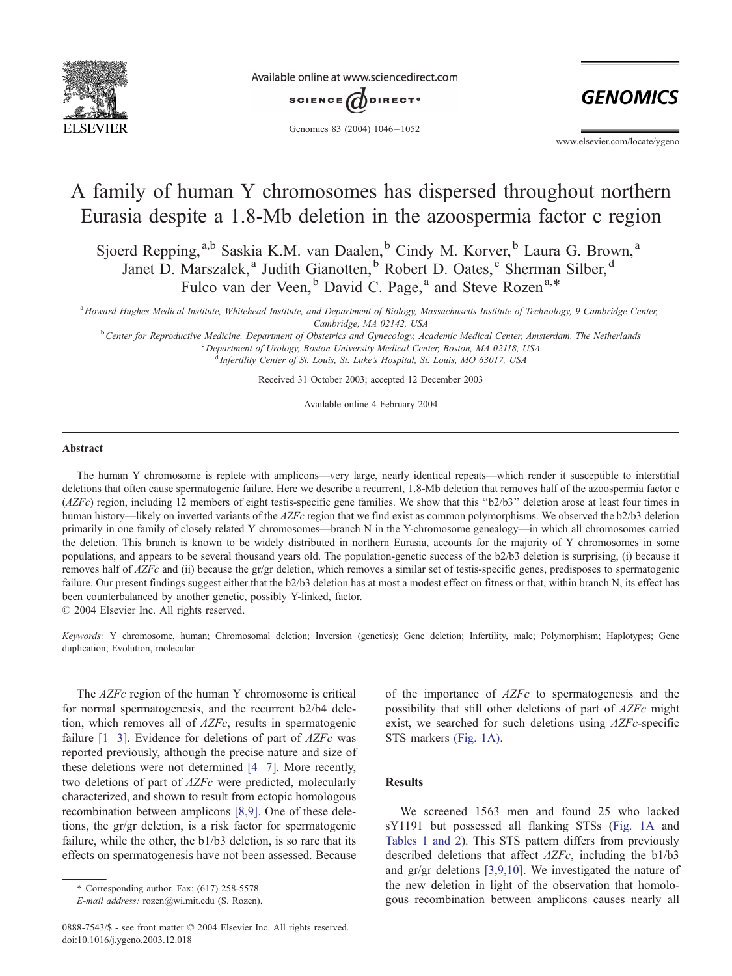

Available online at www.sciencedirect.com



Genomics 83 (2004) 1046-1052

**GENOMICS** 

www.elsevier.com/locate/ygeno

# A family of human Y chromosomes has dispersed throughout northern Eurasia despite a 1.8-Mb deletion in the azoospermia factor c region

Sjoerd Repping,<sup>a,b</sup> Saskia K.M. van Daalen,<sup>b</sup> Cindy M. Korver,<sup>b</sup> Laura G. Brown,<sup>a</sup> Janet D. Marszalek,<sup>a</sup> Judith Gianotten,<sup>b</sup> Robert D. Oates,<sup>c</sup> Sherman Silber,<sup>d</sup> Fulco van der Veen, <sup>b</sup> David C. Page,<sup>a</sup> and Steve Rozen<sup>a,\*</sup>

a<br>Howard Hughes Medical Institute, Whitehead Institute, and Department of Biology, Massachusetts Institute of Technology, 9 Cambridge Center, Cambridge, MA 02142, USA<br><sup>b</sup> Cantar for Paproductive Medicine, Department of Obstatries and Gynecology, Ac

Center for Reproductive Medicine, Department of Obstetrics and Gynecology, Academic Medical Center, Amsterdam, The Netherlands<br>Consultment of Umlogy, Poston University Medical Center, MA 02119, USA Department of Urology, Boston University Medical Center, Boston, MA 02118, USA

<sup>d</sup> Infertility Center of St. Louis, St. Luke's Hospital, St. Louis, MO 63017, USA

Received 31 October 2003; accepted 12 December 2003

Available online 4 February 2004

#### Abstract

The human Y chromosome is replete with amplicons—very large, nearly identical repeats—which render it susceptible to interstitial deletions that often cause spermatogenic failure. Here we describe a recurrent, 1.8-Mb deletion that removes half of the azoospermia factor c (AZFc) region, including 12 members of eight testis-specific gene families. We show that this ''b2/b3'' deletion arose at least four times in human history—likely on inverted variants of the AZFc region that we find exist as common polymorphisms. We observed the b2/b3 deletion primarily in one family of closely related Y chromosomes—branch N in the Y-chromosome genealogy—in which all chromosomes carried the deletion. This branch is known to be widely distributed in northern Eurasia, accounts for the majority of Y chromosomes in some populations, and appears to be several thousand years old. The population-genetic success of the b2/b3 deletion is surprising, (i) because it removes half of AZFc and (ii) because the gr/gr deletion, which removes a similar set of testis-specific genes, predisposes to spermatogenic failure. Our present findings suggest either that the b2/b3 deletion has at most a modest effect on fitness or that, within branch N, its effect has been counterbalanced by another genetic, possibly Y-linked, factor.

 $© 2004 Elsevier Inc. All rights reserved.$ 

Keywords: Y chromosome, human; Chromosomal deletion; Inversion (genetics); Gene deletion; Infertility, male; Polymorphism; Haplotypes; Gene duplication; Evolution, molecular

The *AZFc* region of the human Y chromosome is critical for normal spermatogenesis, and the recurrent b2/b4 deletion, which removes all of AZFc, results in spermatogenic failure  $[1-3]$ . Evidence for deletions of part of  $AZFc$  was reported previously, although the precise nature and size of these deletions were not determined  $[4-7]$ . More recently, two deletions of part of AZFc were predicted, molecularly characterized, and shown to result from ectopic homologous recombination between amplicons [\[8,9\].](#page-6-0) One of these deletions, the gr/gr deletion, is a risk factor for spermatogenic failure, while the other, the b1/b3 deletion, is so rare that its effects on spermatogenesis have not been assessed. Because

of the importance of AZFc to spermatogenesis and the possibility that still other deletions of part of AZFc might exist, we searched for such deletions using AZFc-specific STS markers [\(Fig. 1A\).](#page-1-0)

## Results

We screened 1563 men and found 25 who lacked sY1191 but possessed all flanking STSs ([Fig. 1A](#page-1-0) and [Tables 1 and 2\)](#page-2-0). This STS pattern differs from previously described deletions that affect AZFc, including the b1/b3 and gr/gr deletions [\[3,9,10\].](#page-6-0) We investigated the nature of the new deletion in light of the observation that homologous recombination between amplicons causes nearly all

<sup>\*</sup> Corresponding author. Fax: (617) 258-5578.

E-mail address: rozen@wi.mit.edu (S. Rozen).

<sup>0888-7543/\$ -</sup> see front matter © 2004 Elsevier Inc. All rights reserved. doi:10.1016/j.ygeno.2003.12.018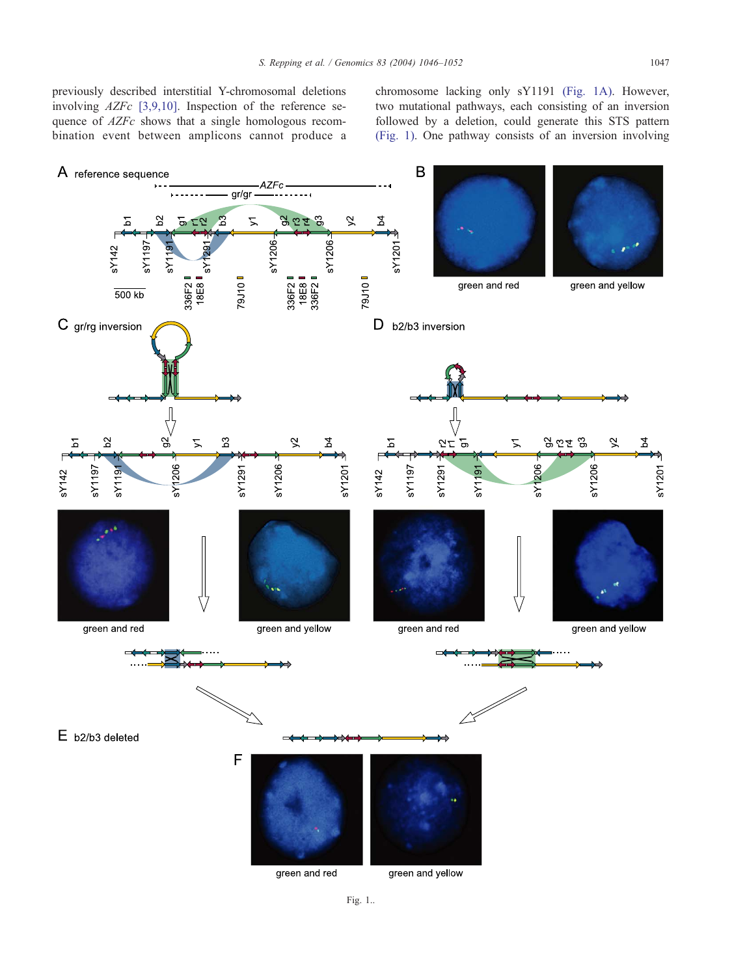<span id="page-1-0"></span>previously described interstitial Y-chromosomal deletions involving AZFc [\[3,9,10\].](#page-6-0) Inspection of the reference sequence of  $AZFc$  shows that a single homologous recombination event between amplicons cannot produce a chromosome lacking only sY1191 (Fig. 1A). However, two mutational pathways, each consisting of an inversion followed by a deletion, could generate this STS pattern (Fig. 1). One pathway consists of an inversion involving

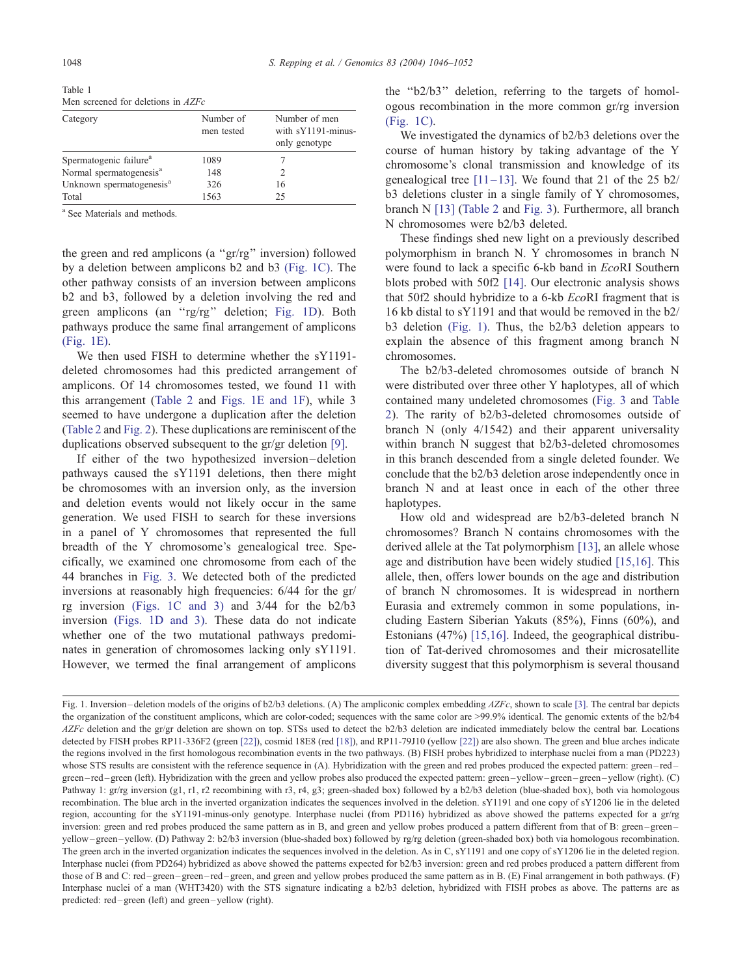<span id="page-2-0"></span>Table 1 Men screened for deletions in 47Fc

| Category                             | Number of<br>men tested | Number of men<br>with sY1191-minus-<br>only genotype |
|--------------------------------------|-------------------------|------------------------------------------------------|
| Spermatogenic failure <sup>a</sup>   | 1089                    |                                                      |
| Normal spermatogenesis <sup>a</sup>  | 148                     | $\mathfrak{D}$                                       |
| Unknown spermatogenesis <sup>a</sup> | 326                     | 16                                                   |
| Total                                | 1563                    | 25                                                   |

<sup>a</sup> See Materials and methods.

the green and red amplicons (a ''gr/rg'' inversion) followed by a deletion between amplicons b2 and b3 [\(Fig. 1C\).](#page-1-0) The other pathway consists of an inversion between amplicons b2 and b3, followed by a deletion involving the red and green amplicons (an ''rg/rg'' deletion; [Fig. 1D\)](#page-1-0). Both pathways produce the same final arrangement of amplicons [\(Fig. 1E\).](#page-1-0)

We then used FISH to determine whether the sY1191 deleted chromosomes had this predicted arrangement of amplicons. Of 14 chromosomes tested, we found 11 with this arrangement [\(Table 2](#page-3-0) and [Figs. 1E and 1F\)](#page-1-0), while 3 seemed to have undergone a duplication after the deletion ([Table 2](#page-3-0) and [Fig. 2\)](#page-4-0). These duplications are reminiscent of the duplications observed subsequent to the gr/gr deletion [\[9\].](#page-6-0)

If either of the two hypothesized inversion –deletion pathways caused the sY1191 deletions, then there might be chromosomes with an inversion only, as the inversion and deletion events would not likely occur in the same generation. We used FISH to search for these inversions in a panel of Y chromosomes that represented the full breadth of the Y chromosome's genealogical tree. Specifically, we examined one chromosome from each of the 44 branches in [Fig. 3.](#page-5-0) We detected both of the predicted inversions at reasonably high frequencies: 6/44 for the gr/ rg inversion [\(Figs. 1C and 3\)](#page-1-0) and 3/44 for the b2/b3 inversion [\(Figs. 1D and 3\).](#page-1-0) These data do not indicate whether one of the two mutational pathways predominates in generation of chromosomes lacking only sY1191. However, we termed the final arrangement of amplicons the ''b2/b3'' deletion, referring to the targets of homologous recombination in the more common gr/rg inversion [\(Fig. 1C\).](#page-1-0)

We investigated the dynamics of b2/b3 deletions over the course of human history by taking advantage of the Y chromosome's clonal transmission and knowledge of its genealogical tree  $[11-13]$ . We found that 21 of the 25 b2/ b3 deletions cluster in a single family of Y chromosomes, branch N [\[13\]](#page-6-0) ([Table 2](#page-3-0) and [Fig. 3\)](#page-5-0). Furthermore, all branch N chromosomes were b2/b3 deleted.

These findings shed new light on a previously described polymorphism in branch N. Y chromosomes in branch N were found to lack a specific 6-kb band in EcoRI Southern blots probed with 50f2 [\[14\].](#page-6-0) Our electronic analysis shows that 50f2 should hybridize to a 6-kb EcoRI fragment that is 16 kb distal to sY1191 and that would be removed in the b2/ b3 deletion [\(Fig. 1\).](#page-1-0) Thus, the b2/b3 deletion appears to explain the absence of this fragment among branch N chromosomes.

The b2/b3-deleted chromosomes outside of branch N were distributed over three other Y haplotypes, all of which contained many undeleted chromosomes ([Fig. 3](#page-5-0) and [Table](#page-3-0) 2). The rarity of b2/b3-deleted chromosomes outside of branch N (only 4/1542) and their apparent universality within branch N suggest that b2/b3-deleted chromosomes in this branch descended from a single deleted founder. We conclude that the b2/b3 deletion arose independently once in branch N and at least once in each of the other three haplotypes.

How old and widespread are b2/b3-deleted branch N chromosomes? Branch N contains chromosomes with the derived allele at the Tat polymorphism [\[13\],](#page-6-0) an allele whose age and distribution have been widely studied [\[15,16\].](#page-6-0) This allele, then, offers lower bounds on the age and distribution of branch N chromosomes. It is widespread in northern Eurasia and extremely common in some populations, including Eastern Siberian Yakuts (85%), Finns (60%), and Estonians (47%) [\[15,16\].](#page-6-0) Indeed, the geographical distribution of Tat-derived chromosomes and their microsatellite diversity suggest that this polymorphism is several thousand

Fig. 1. Inversion-deletion models of the origins of b2/b3 deletions. (A) The ampliconic complex embedding  $\angle AZFC$ , shown to scale [\[3\].](#page-6-0) The central bar depicts the organization of the constituent amplicons, which are color-coded; sequences with the same color are >99.9% identical. The genomic extents of the b2/b4 AZFc deletion and the gr/gr deletion are shown on top. STSs used to detect the b2/b3 deletion are indicated immediately below the central bar. Locations detected by FISH probes RP11-336F2 (green [\[22\]\)](#page-6-0), cosmid 18E8 (red [\[18\]\)](#page-6-0), and RP11-79J10 (yellow [\[22\]\)](#page-6-0) are also shown. The green and blue arches indicate the regions involved in the first homologous recombination events in the two pathways. (B) FISH probes hybridized to interphase nuclei from a man (PD223) whose STS results are consistent with the reference sequence in (A). Hybridization with the green and red probes produced the expected pattern: green–red– green – red – green (left). Hybridization with the green and yellow probes also produced the expected pattern: green – yellow – green – green – yellow (right). (C) Pathway 1: gr/rg inversion (g1, r1, r2 recombining with r3, r4, g3; green-shaded box) followed by a b2/b3 deletion (blue-shaded box), both via homologous recombination. The blue arch in the inverted organization indicates the sequences involved in the deletion. sY1191 and one copy of sY1206 lie in the deleted region, accounting for the sY1191-minus-only genotype. Interphase nuclei (from PD116) hybridized as above showed the patterns expected for a gr/rg inversion: green and red probes produced the same pattern as in B, and green and yellow probes produced a pattern different from that of B: green – green – yellow – green – yellow. (D) Pathway 2: b2/b3 inversion (blue-shaded box) followed by rg/rg deletion (green-shaded box) both via homologous recombination. The green arch in the inverted organization indicates the sequences involved in the deletion. As in C, sY1191 and one copy of sY1206 lie in the deleted region. Interphase nuclei (from PD264) hybridized as above showed the patterns expected for b2/b3 inversion: green and red probes produced a pattern different from those of B and C: red – green – green – red – green, and green and yellow probes produced the same pattern as in B. (E) Final arrangement in both pathways. (F) Interphase nuclei of a man (WHT3420) with the STS signature indicating a b2/b3 deletion, hybridized with FISH probes as above. The patterns are as predicted: red – green (left) and green – yellow (right).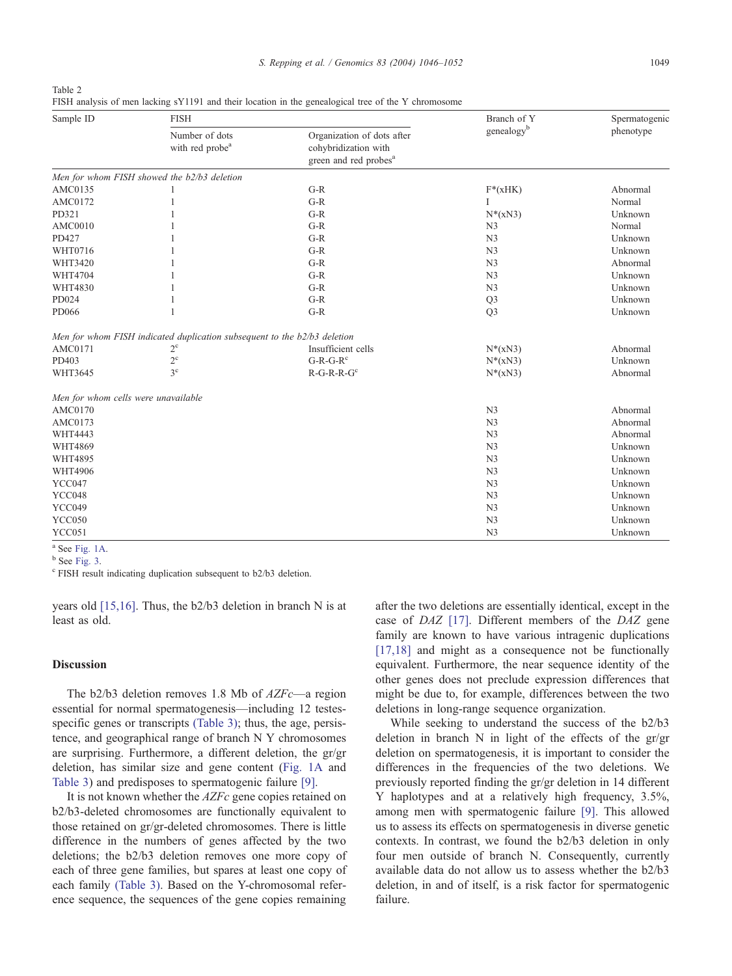<span id="page-3-0"></span>

| Table 2                                                                                             |  |
|-----------------------------------------------------------------------------------------------------|--|
| FISH analysis of men lacking sY1191 and their location in the genealogical tree of the Y chromosome |  |

| Sample ID                           | <b>FISH</b>                                                              |                                                                                         | Branch of Y    | Spermatogenic |
|-------------------------------------|--------------------------------------------------------------------------|-----------------------------------------------------------------------------------------|----------------|---------------|
|                                     | Number of dots<br>with red probe <sup>a</sup>                            | Organization of dots after<br>cohybridization with<br>green and red probes <sup>a</sup> | genealogyb     | phenotype     |
|                                     | Men for whom FISH showed the b2/b3 deletion                              |                                                                                         |                |               |
| AMC0135                             |                                                                          | $G-R$                                                                                   | $F^*(xHK)$     | Abnormal      |
| AMC0172                             |                                                                          | $G-R$                                                                                   | I              | Normal        |
| PD321                               |                                                                          | $G-R$                                                                                   | $N^*(xN3)$     | Unknown       |
| AMC0010                             |                                                                          | $G-R$                                                                                   | N <sub>3</sub> | Normal        |
| PD427                               |                                                                          | $G-R$                                                                                   | N <sub>3</sub> | Unknown       |
| WHT0716                             |                                                                          | $G-R$                                                                                   | N <sub>3</sub> | Unknown       |
| WHT3420                             |                                                                          | $G-R$                                                                                   | N <sub>3</sub> | Abnormal      |
| WHT4704                             |                                                                          | $G-R$                                                                                   | N <sub>3</sub> | Unknown       |
| WHT4830                             |                                                                          | $G-R$                                                                                   | N <sub>3</sub> | Unknown       |
| PD024                               |                                                                          | $G-R$                                                                                   | Q <sub>3</sub> | Unknown       |
| PD066                               |                                                                          | $G-R$                                                                                   | Q <sub>3</sub> | Unknown       |
|                                     | Men for whom FISH indicated duplication subsequent to the b2/b3 deletion |                                                                                         |                |               |
| AMC0171                             | $2^{\circ}$                                                              | Insufficient cells                                                                      | $N^*(xN3)$     | Abnormal      |
| PD403                               | $2^{\rm c}$                                                              | $G-R-G-Rc$                                                                              | $N^*(xN3)$     | Unknown       |
| WHT3645                             | 3 <sup>c</sup>                                                           | $R-G-R-R-Gc$                                                                            | $N^*(xN3)$     | Abnormal      |
| Men for whom cells were unavailable |                                                                          |                                                                                         |                |               |
| AMC0170                             |                                                                          |                                                                                         | N <sub>3</sub> | Abnormal      |
| AMC0173                             |                                                                          |                                                                                         | N <sub>3</sub> | Abnormal      |
| WHT4443                             |                                                                          |                                                                                         | N <sub>3</sub> | Abnormal      |
| WHT4869                             |                                                                          |                                                                                         | N <sub>3</sub> | Unknown       |
| WHT4895                             |                                                                          |                                                                                         | N <sub>3</sub> | Unknown       |
| WHT4906                             |                                                                          |                                                                                         | N <sub>3</sub> | Unknown       |
| YCC047                              |                                                                          |                                                                                         | N <sub>3</sub> | Unknown       |
| YCC048                              |                                                                          |                                                                                         | N <sub>3</sub> | Unknown       |
| YCC049                              |                                                                          |                                                                                         | N <sub>3</sub> | Unknown       |
| YCC050                              |                                                                          |                                                                                         | N <sub>3</sub> | Unknown       |
| YCC051                              |                                                                          |                                                                                         | N <sub>3</sub> | Unknown       |

 $a^b$  See [Fig. 1A.](#page-1-0)<br>b See [Fig. 3.](#page-5-0)

<sup>c</sup> FISH result indicating duplication subsequent to b2/b3 deletion.

years old [\[15,16\].](#page-6-0) Thus, the b2/b3 deletion in branch N is at least as old.

#### Discussion

The b2/b3 deletion removes 1.8 Mb of  $AZFc$ —a region essential for normal spermatogenesis—including 12 testes-specific genes or transcripts [\(Table 3\);](#page-6-0) thus, the age, persistence, and geographical range of branch N Y chromosomes are surprising. Furthermore, a different deletion, the gr/gr deletion, has similar size and gene content ([Fig. 1A](#page-1-0) and [Table 3\)](#page-6-0) and predisposes to spermatogenic failure [\[9\].](#page-6-0)

It is not known whether the AZFc gene copies retained on b2/b3-deleted chromosomes are functionally equivalent to those retained on gr/gr-deleted chromosomes. There is little difference in the numbers of genes affected by the two deletions; the b2/b3 deletion removes one more copy of each of three gene families, but spares at least one copy of each family [\(Table 3\).](#page-6-0) Based on the Y-chromosomal reference sequence, the sequences of the gene copies remaining

after the two deletions are essentially identical, except in the case of DAZ [\[17\].](#page-6-0) Different members of the DAZ gene family are known to have various intragenic duplications [\[17,18\]](#page-6-0) and might as a consequence not be functionally equivalent. Furthermore, the near sequence identity of the other genes does not preclude expression differences that might be due to, for example, differences between the two deletions in long-range sequence organization.

While seeking to understand the success of the b2/b3 deletion in branch N in light of the effects of the gr/gr deletion on spermatogenesis, it is important to consider the differences in the frequencies of the two deletions. We previously reported finding the gr/gr deletion in 14 different Y haplotypes and at a relatively high frequency, 3.5%, among men with spermatogenic failure [\[9\].](#page-6-0) This allowed us to assess its effects on spermatogenesis in diverse genetic contexts. In contrast, we found the b2/b3 deletion in only four men outside of branch N. Consequently, currently available data do not allow us to assess whether the b2/b3 deletion, in and of itself, is a risk factor for spermatogenic failure.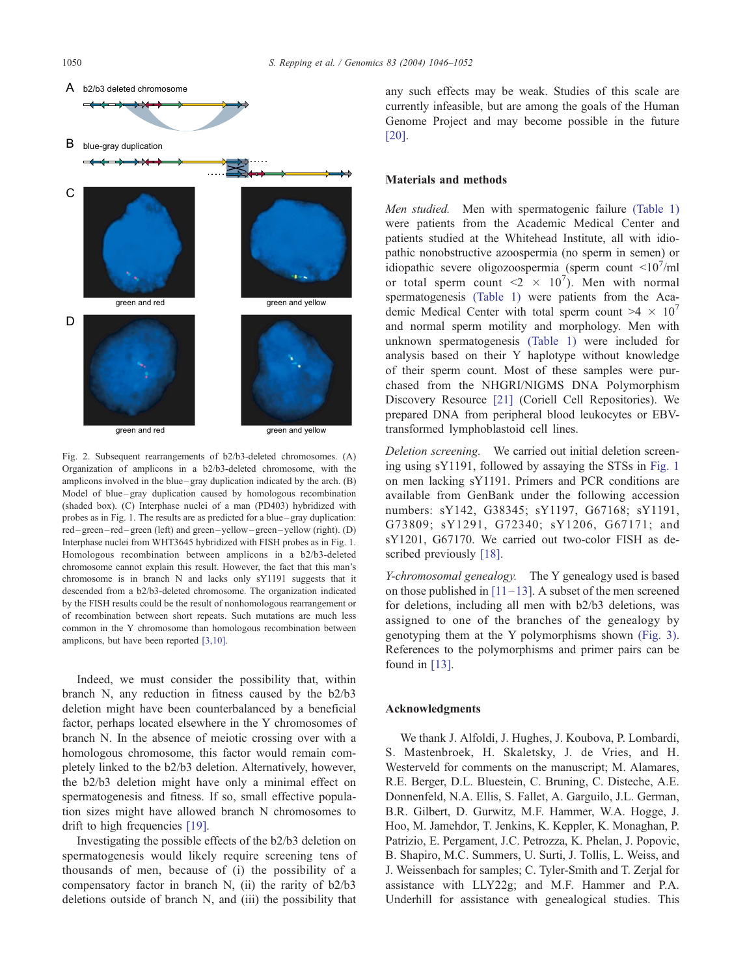<span id="page-4-0"></span>

Fig. 2. Subsequent rearrangements of b2/b3-deleted chromosomes. (A) Organization of amplicons in a b2/b3-deleted chromosome, with the amplicons involved in the blue – gray duplication indicated by the arch. (B) Model of blue-gray duplication caused by homologous recombination (shaded box). (C) Interphase nuclei of a man (PD403) hybridized with probes as in Fig. 1. The results are as predicted for a blue – gray duplication: red – green – red – green (left) and green – yellow – green – yellow (right). (D) Interphase nuclei from WHT3645 hybridized with FISH probes as in Fig. 1. Homologous recombination between amplicons in a b2/b3-deleted chromosome cannot explain this result. However, the fact that this man's chromosome is in branch N and lacks only sY1191 suggests that it descended from a b2/b3-deleted chromosome. The organization indicated by the FISH results could be the result of nonhomologous rearrangement or of recombination between short repeats. Such mutations are much less common in the Y chromosome than homologous recombination between amplicons, but have been reported [\[3,10\].](#page-6-0)

Indeed, we must consider the possibility that, within branch N, any reduction in fitness caused by the b2/b3 deletion might have been counterbalanced by a beneficial factor, perhaps located elsewhere in the Y chromosomes of branch N. In the absence of meiotic crossing over with a homologous chromosome, this factor would remain completely linked to the b2/b3 deletion. Alternatively, however, the b2/b3 deletion might have only a minimal effect on spermatogenesis and fitness. If so, small effective population sizes might have allowed branch N chromosomes to drift to high frequencies [\[19\].](#page-6-0)

Investigating the possible effects of the b2/b3 deletion on spermatogenesis would likely require screening tens of thousands of men, because of (i) the possibility of a compensatory factor in branch N, (ii) the rarity of b2/b3 deletions outside of branch N, and (iii) the possibility that

any such effects may be weak. Studies of this scale are currently infeasible, but are among the goals of the Human Genome Project and may become possible in the future [\[20\].](#page-6-0)

### Materials and methods

Men studied. Men with spermatogenic failure [\(Table 1\)](#page-2-0) were patients from the Academic Medical Center and patients studied at the Whitehead Institute, all with idiopathic nonobstructive azoospermia (no sperm in semen) or idiopathic severe oligozoospermia (sperm count  $\langle 10^7/n1 \rangle$ or total sperm count  $\langle 2 \times 10^7 \rangle$ . Men with normal spermatogenesis [\(Table 1\)](#page-2-0) were patients from the Academic Medical Center with total sperm count  $>4 \times 10^7$ and normal sperm motility and morphology. Men with unknown spermatogenesis [\(Table 1\)](#page-2-0) were included for analysis based on their Y haplotype without knowledge of their sperm count. Most of these samples were purchased from the NHGRI/NIGMS DNA Polymorphism Discovery Resource [\[21\]](#page-6-0) (Coriell Cell Repositories). We prepared DNA from peripheral blood leukocytes or EBVtransformed lymphoblastoid cell lines.

Deletion screening. We carried out initial deletion screening using sY1191, followed by assaying the STSs in [Fig. 1](#page-1-0) on men lacking sY1191. Primers and PCR conditions are available from GenBank under the following accession numbers: sY142, G38345; sY1197, G67168; sY1191, G73809; sY1291, G72340; sY1206, G67171; and sY1201, G67170. We carried out two-color FISH as de-scribed previously [\[18\].](#page-6-0)

Y-chromosomal genealogy. The Y genealogy used is based on those published in  $[11-13]$ . A subset of the men screened for deletions, including all men with b2/b3 deletions, was assigned to one of the branches of the genealogy by genotyping them at the Y polymorphisms shown [\(Fig. 3\).](#page-5-0) References to the polymorphisms and primer pairs can be found in [\[13\].](#page-6-0)

#### Acknowledgments

We thank J. Alfoldi, J. Hughes, J. Koubova, P. Lombardi, S. Mastenbroek, H. Skaletsky, J. de Vries, and H. Westerveld for comments on the manuscript; M. Alamares, R.E. Berger, D.L. Bluestein, C. Bruning, C. Disteche, A.E. Donnenfeld, N.A. Ellis, S. Fallet, A. Garguilo, J.L. German, B.R. Gilbert, D. Gurwitz, M.F. Hammer, W.A. Hogge, J. Hoo, M. Jamehdor, T. Jenkins, K. Keppler, K. Monaghan, P. Patrizio, E. Pergament, J.C. Petrozza, K. Phelan, J. Popovic, B. Shapiro, M.C. Summers, U. Surti, J. Tollis, L. Weiss, and J. Weissenbach for samples; C. Tyler-Smith and T. Zerjal for assistance with LLY22g; and M.F. Hammer and P.A. Underhill for assistance with genealogical studies. This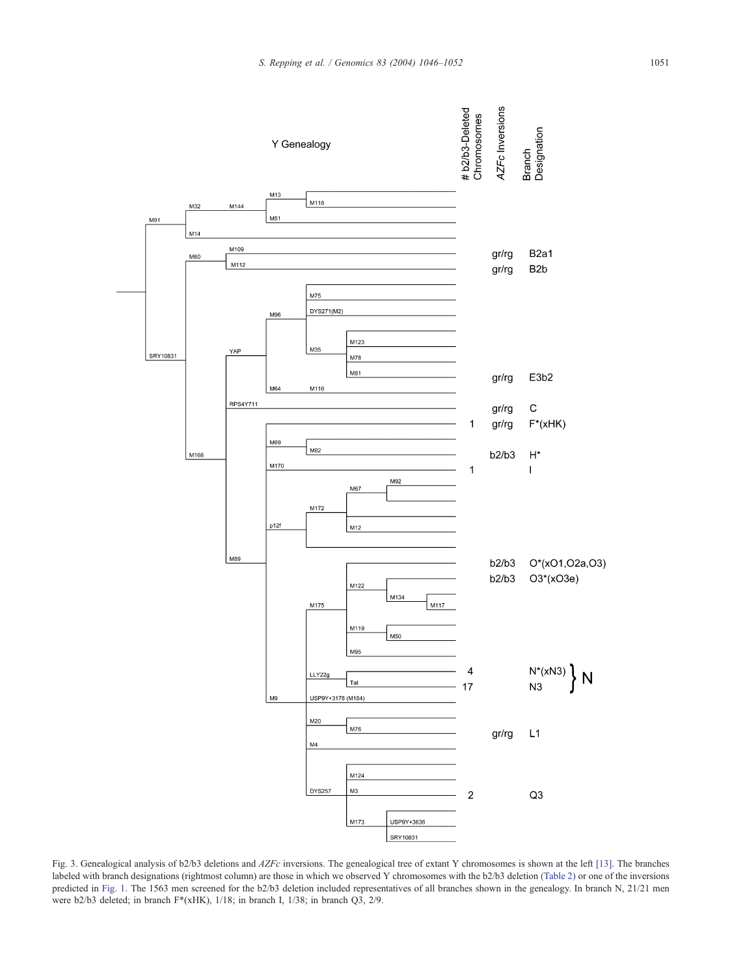<span id="page-5-0"></span>

Fig. 3. Genealogical analysis of b2/b3 deletions and AZFc inversions. The genealogical tree of extant Y chromosomes is shown at the left [\[13\].](#page-6-0) The branches labeled with branch designations (rightmost column) are those in which we observed Y chromosomes with the b2/b3 deletion [\(Table 2\)](#page-3-0) or one of the inversions predicted in [Fig. 1.](#page-1-0) The 1563 men screened for the b2/b3 deletion included representatives of all branches shown in the genealogy. In branch N, 21/21 men were b2/b3 deleted; in branch F\*(xHK), 1/18; in branch I, 1/38; in branch Q3, 2/9.